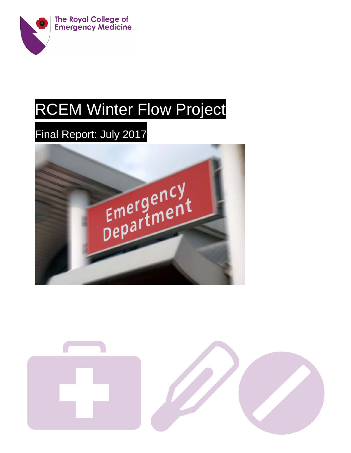

# RCEM Winter Flow Project

# Final Report: July 2017



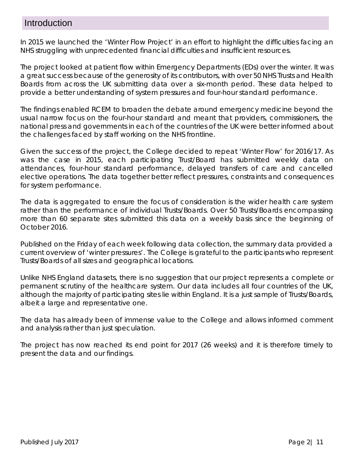# Introduction

In 2015 we launched the 'Winter Flow Project' in an effort to highlight the difficulties facing an NHS struggling with unprecedented financial difficulties and insufficient resources.

The project looked at patient flow within Emergency Departments (EDs) over the winter. It was a great success because of the generosity of its contributors, with over 50 NHS Trusts and Health Boards from across the UK submitting data over a six-month period. These data helped to provide a better understanding of system pressures and four-hour standard performance.

The findings enabled RCEM to broaden the debate around emergency medicine beyond the usual narrow focus on the four-hour standard and meant that providers, commissioners, the national press and governments in each of the countries of the UK were better informed about the challenges faced by staff working on the NHS frontline.

Given the success of the project, the College decided to repeat 'Winter Flow' for 2016/17. As was the case in 2015, each participating Trust/Board has submitted weekly data on attendances, four-hour standard performance, delayed transfers of care and cancelled elective operations. The data together better reflect pressures, constraints and consequences for system performance.

The data is aggregated to ensure the focus of consideration is the wider health care system rather than the performance of individual Trusts/Boards. Over 50 Trusts/Boards encompassing more than 60 separate sites submitted this data on a weekly basis since the beginning of October 2016.

Published on the Friday of each week following data collection, the summary data provided a current overview of 'winter pressures'. The College is grateful to the participants who represent Trusts/Boards of all sizes and geographical locations.

Unlike NHS England datasets, there is no suggestion that our project represents a complete or permanent scrutiny of the healthcare system. Our data includes all four countries of the UK, although the majority of participating sites lie within England. It is a just sample of Trusts/Boards, albeit a large and representative one.

The data has already been of immense value to the College and allows informed comment and analysis rather than just speculation.

The project has now reached its end point for 2017 (26 weeks) and it is therefore timely to present the data and our findings.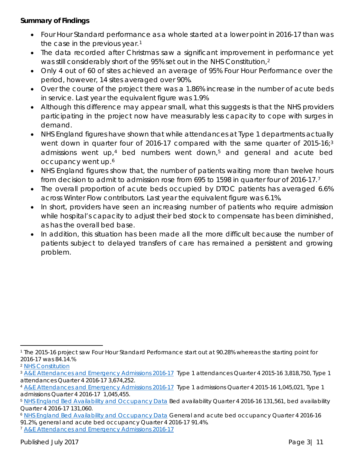#### **Summary of Findings**

- Four Hour Standard performance as a whole started at a lower point in 2016-17 than was the case in the previous year.<sup>[1](#page-2-0)</sup>
- The data recorded after Christmas saw a significant improvement in performance yet was still considerably short of the 95% set out in the NHS Constitution,<sup>[2](#page-2-1)</sup>
- Only 4 out of 60 of sites achieved an average of 95% Four Hour Performance over the period, however, 14 sites averaged over 90%.
- Over the course of the project there was a 1.86% increase in the number of acute beds in service. Last year the equivalent figure was 1.9%
- Although this difference may appear small, what this suggests is that the NHS providers participating in the project now have measurably less capacity to cope with surges in demand.
- NHS England figures have shown that while attendances at Type 1 departments actually went down in quarter four of 2016-17 compared with the same quarter of 2015-16;<sup>[3](#page-2-2)</sup> admissions went up,<sup>[4](#page-2-3)</sup> bed numbers went down,<sup>[5](#page-2-4)</sup> and general and acute bed occupancy went up.[6](#page-2-5)
- NHS England figures show that, the number of patients waiting more than twelve hours from decision to admit to admission rose from 695 to 1598 in quarter four of 2016-17.[7](#page-2-6)
- The overall proportion of acute beds occupied by DTOC patients has averaged 6.6% across Winter Flow contributors. Last year the equivalent figure was 6.1%.
- In short, providers have seen an increasing number of patients who require admission while hospital's capacity to adjust their bed stock to compensate has been diminished, as has the overall bed base.
- In addition, this situation has been made all the more difficult because the number of patients subject to delayed transfers of care has remained a persistent and growing problem.

<span id="page-2-0"></span><sup>1</sup> The 2015-16 project saw Four Hour Standard Performance start out at 90.28% whereas the starting point for 2016-17 was 84.14.%

<span id="page-2-1"></span><sup>2</sup> [NHS Constitution](https://www.gov.uk/government/uploads/system/uploads/attachment_data/file/480482/NHS_Constitution_WEB.pdf)

<span id="page-2-2"></span><sup>3</sup> [A&E Attendances and Emergency Admissions 2016-17](https://www.england.nhs.uk/statistics/statistical-work-areas/ae-waiting-times-and-activity/statistical-work-areasae-waiting-times-and-activityae-attendances-and-emergency-admissions-2016-17/) Type 1 attendances Quarter 4 2015-16 3,818,750, Type 1 attendances Quarter 4 2016-17 3,674,252.

<span id="page-2-3"></span><sup>4</sup> [A&E Attendances and Emergency Admissions 2016-17](https://www.england.nhs.uk/statistics/statistical-work-areas/ae-waiting-times-and-activity/statistical-work-areasae-waiting-times-and-activityae-attendances-and-emergency-admissions-2016-17/) Type 1 admissions Quarter 4 2015-16 1,045,021, Type 1 admissions Quarter 4 2016-17 1,045,455.

<span id="page-2-4"></span><sup>5</sup> [NHS England Bed Availability and Occupancy Data](https://www.england.nhs.uk/statistics/statistical-work-areas/bed-availability-and-occupancy/bed-data-overnight/) Bed availability Quarter 4 2016-16 131,561, bed availability Quarter 4 2016-17 131,060.

<span id="page-2-5"></span><sup>&</sup>lt;sup>6</sup> [NHS England Bed Availability and Occupancy Data](https://www.england.nhs.uk/statistics/statistical-work-areas/bed-availability-and-occupancy/bed-data-overnight/) General and acute bed occupancy Quarter 4 2016-16 91.2%, general and acute bed occupancy Quarter 4 2016-17 91.4%.

<span id="page-2-6"></span><sup>7</sup> [A&E Attendances and Emergency Admissions 2016-17](https://www.england.nhs.uk/statistics/statistical-work-areas/ae-waiting-times-and-activity/statistical-work-areasae-waiting-times-and-activityae-attendances-and-emergency-admissions-2016-17/)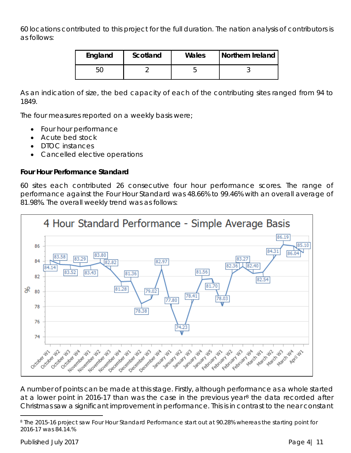60 locations contributed to this project for the full duration. The nation analysis of contributors is as follows:

| England | Scotland | Wales | Northern Ireland |
|---------|----------|-------|------------------|
|         |          |       |                  |

As an indication of size, the bed capacity of each of the contributing sites ranged from 94 to 1849.

The four measures reported on a weekly basis were;

- Four hour performance
- Acute bed stock
- DTOC instances
- Cancelled elective operations

#### **Four Hour Performance Standard**

60 sites each contributed 26 consecutive four hour performance scores. The range of performance against the Four Hour Standard was 48.66% to 99.46% with an overall average of 81.98%. The overall weekly trend was as follows:



A number of points can be made at this stage. Firstly, although performance as a whole started at a lower point in 2016-17 than was the case in the previous year<sup>[8](#page-3-0)</sup> the data recorded after Christmas saw a significant improvement in performance. This is in contrast to the near constant

Published July 2017 **Published July 2017** 

<span id="page-3-0"></span><sup>8</sup> The 2015-16 project saw Four Hour Standard Performance start out at 90.28% whereas the starting point for 2016-17 was 84.14.%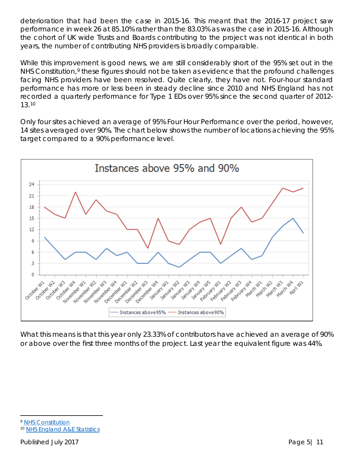deterioration that had been the case in 2015-16. This meant that the 2016-17 project saw performance in week 26 at 85.10% rather than the 83.03% as was the case in 2015-16. Although the cohort of UK wide Trusts and Boards contributing to the project was not identical in both years, the number of contributing NHS providers is broadly comparable.

While this improvement is good news, we are still considerably short of the 95% set out in the NHS Constitution,<sup>[9](#page-4-0)</sup> these figures should not be taken as evidence that the profound challenges facing NHS providers have been resolved. Quite clearly, they have not. Four-hour standard performance has more or less been in steady decline since 2010 and NHS England has not recorded a quarterly performance for Type 1 EDs over 95% since the second quarter of 2012- 13.[10](#page-4-1)

Only four sites achieved an average of 95% Four Hour Performance over the period, however, 14 sites averaged over 90%. The chart below shows the number of locations achieving the 95% target compared to a 90% performance level.



What this means is that this year only 23.33% of contributors have achieved an average of 90% or above over the first three months of the project. Last year the equivalent figure was 44%.

<span id="page-4-0"></span><sup>9</sup> [NHS Constitution](https://www.gov.uk/government/uploads/system/uploads/attachment_data/file/480482/NHS_Constitution_WEB.pdf)

<span id="page-4-1"></span><sup>10</sup> [NHS England A&E Statistics](https://www.england.nhs.uk/statistics/wp-content/uploads/sites/2/2016/06/Quarterly-timeseries-Nov-2016-1.xls)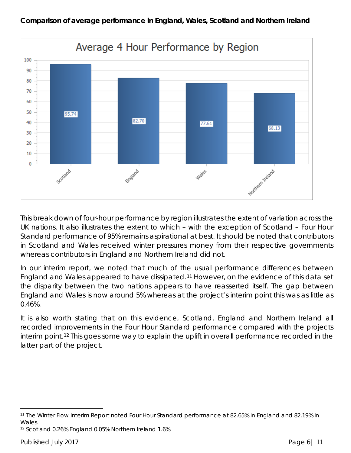

This break down of four-hour performance by region illustrates the extent of variation across the UK nations. It also illustrates the extent to which – with the exception of Scotland – Four Hour Standard performance of 95% remains aspirational at best. It should be noted that contributors in Scotland and Wales received winter pressures money from their respective governments whereas contributors in England and Northern Ireland did not.

In our interim report, we noted that much of the usual performance differences between England and Wales appeared to have dissipated.[11](#page-5-0) However, on the evidence of this data set the disparity between the two nations appears to have reasserted itself. The gap between England and Wales is now around 5% whereas at the project's interim point this was as little as 0.46%.

It is also worth stating that on this evidence, Scotland, England and Northern Ireland all recorded improvements in the Four Hour Standard performance compared with the projects interim point.[12](#page-5-1) This goes some way to explain the uplift in overall performance recorded in the latter part of the project.

<span id="page-5-0"></span> $\overline{a}$ <sup>11</sup> The Winter Flow Interim Report noted Four Hour Standard performance at 82.65% in England and 82.19% in Wales.

<span id="page-5-1"></span><sup>12</sup> Scotland 0.26% England 0.05% Northern Ireland 1.6%.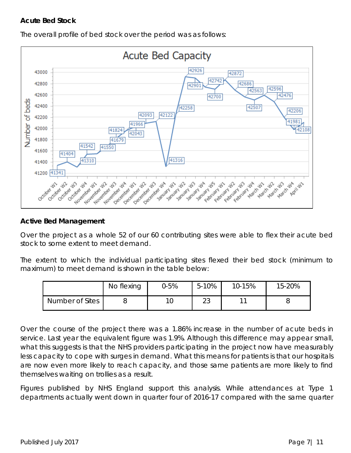#### **Acute Bed Stock**



The overall profile of bed stock over the period was as follows:

#### **Active Bed Management**

Over the project as a whole 52 of our 60 contributing sites were able to flex their acute bed stock to some extent to meet demand.

The extent to which the individual participating sites flexed their bed stock (minimum to maximum) to meet demand is shown in the table below:

|                 | No flexing | $2-5%$ | 5-10%     | 10-15% | 15-20% |
|-----------------|------------|--------|-----------|--------|--------|
| Number of Sites |            |        | ົດ<br>ں ے | 11     |        |

Over the course of the project there was a 1.86% increase in the number of acute beds in service. Last year the equivalent figure was 1.9%. Although this difference may appear small, what this suggests is that the NHS providers participating in the project now have measurably less capacity to cope with surges in demand. What this means for patients is that our hospitals are now even more likely to reach capacity, and those same patients are more likely to find themselves waiting on trollies as a result.

Figures published by NHS England support this analysis. While attendances at Type 1 departments actually went down in quarter four of 2016-17 compared with the same quarter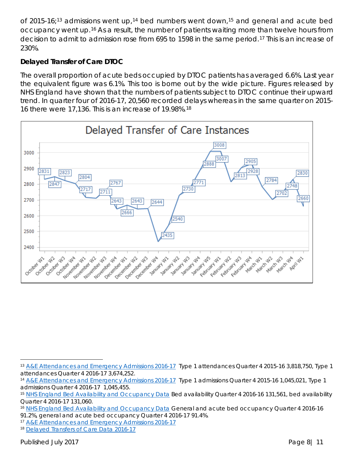of 2015-16;<sup>[13](#page-7-0)</sup> admissions went up,<sup>[14](#page-7-1)</sup> bed numbers went down,<sup>[15](#page-7-2)</sup> and general and acute bed occupancy went up.[16](#page-7-3) As a result, the number of patients waiting more than twelve hours from decision to admit to admission rose from 695 to 1598 in the same period.[17](#page-7-4) This is an increase of 230%.

## **Delayed Transfer of Care DTOC**

The overall proportion of acute beds occupied by DTOC patients has averaged 6.6%. Last year the equivalent figure was 6.1%. This too is borne out by the wide picture. Figures released by NHS England have shown that the numbers of patients subject to DTOC continue their upward trend. In quarter four of 2016-17, 20,560 recorded delays whereas in the same quarter on 2015- 16 there were 17,136. This is an increase of 19.98%.[18](#page-7-5)



<span id="page-7-0"></span> $\overline{a}$ 13 [A&E Attendances and Emergency Admissions 2016-17](https://www.england.nhs.uk/statistics/statistical-work-areas/ae-waiting-times-and-activity/statistical-work-areasae-waiting-times-and-activityae-attendances-and-emergency-admissions-2016-17/) Type 1 attendances Quarter 4 2015-16 3,818,750, Type 1 attendances Quarter 4 2016-17 3,674,252.

<span id="page-7-1"></span><sup>14</sup> [A&E Attendances and Emergency Admissions 2016-17](https://www.england.nhs.uk/statistics/statistical-work-areas/ae-waiting-times-and-activity/statistical-work-areasae-waiting-times-and-activityae-attendances-and-emergency-admissions-2016-17/) Type 1 admissions Quarter 4 2015-16 1,045,021, Type 1 admissions Quarter 4 2016-17 1,045,455.

<span id="page-7-2"></span><sup>15</sup> [NHS England Bed Availability and Occupancy Data](https://www.england.nhs.uk/statistics/statistical-work-areas/bed-availability-and-occupancy/bed-data-overnight/) Bed availability Quarter 4 2016-16 131,561, bed availability Quarter 4 2016-17 131,060.

<span id="page-7-3"></span><sup>16</sup> [NHS England Bed Availability and Occupancy Data](https://www.england.nhs.uk/statistics/statistical-work-areas/bed-availability-and-occupancy/bed-data-overnight/) General and acute bed occupancy Quarter 4 2016-16 91.2%, general and acute bed occupancy Quarter 4 2016-17 91.4%.

<span id="page-7-4"></span><sup>17</sup> [A&E Attendances and Emergency Admissions 2016-17](https://www.england.nhs.uk/statistics/statistical-work-areas/ae-waiting-times-and-activity/statistical-work-areasae-waiting-times-and-activityae-attendances-and-emergency-admissions-2016-17/) 

<span id="page-7-5"></span><sup>18</sup> [Delayed Transfers of Care Data 2016-17](https://www.england.nhs.uk/statistics/statistical-work-areas/delayed-transfers-of-care/2016-17-data/)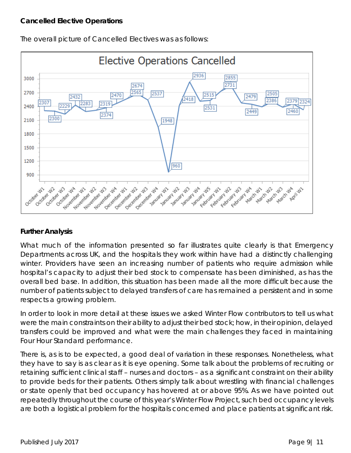

The overall picture of Cancelled Electives was as follows:

### **Further Analysis**

What much of the information presented so far illustrates quite clearly is that Emergency Departments across UK, and the hospitals they work within have had a distinctly challenging winter. Providers have seen an increasing number of patients who require admission while hospital's capacity to adjust their bed stock to compensate has been diminished, as has the overall bed base. In addition, this situation has been made all the more difficult because the number of patients subject to delayed transfers of care has remained a persistent and in some respects a growing problem.

In order to look in more detail at these issues we asked Winter Flow contributors to tell us what were the main constraints on their ability to adjust their bed stock; how, in their opinion, delayed transfers could be improved and what were the main challenges they faced in maintaining Four Hour Standard performance.

There is, as is to be expected, a good deal of variation in these responses. Nonetheless, what they have to say is as clear as it is eye opening. Some talk about the problems of recruiting or retaining sufficient clinical staff – nurses and doctors – as a significant constraint on their ability to provide beds for their patients. Others simply talk about wrestling with financial challenges or state openly that bed occupancy has hovered at or above 95%. As we have pointed out repeatedly throughout the course of this year's Winter Flow Project, such bed occupancy levels are both a logistical problem for the hospitals concerned and place patients at significant risk.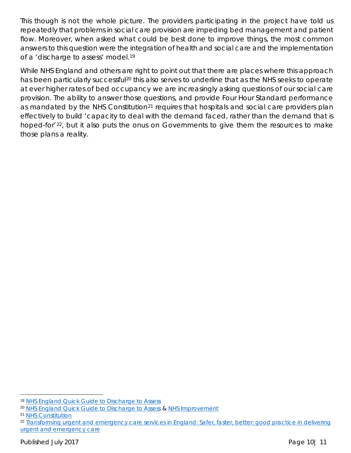This though is not the whole picture. The providers participating in the project have told us repeatedly that problems in social care provision are impeding bed management and patient flow. Moreover, when asked what could be best done to improve things, the most common answers to this question were the integration of health and social care and the implementation of a 'discharge to assess' model.[19](#page-9-0)

While NHS England and others are right to point out that there are places where this approach has been particularly successful<sup>[20](#page-9-1)</sup> this also serves to underline that as the NHS seeks to operate at ever higher rates of bed occupancy we are increasingly asking questions of our social care provision. The ability to answer those questions, and provide Four Hour Standard performance as mandated by the NHS Constitution<sup>[21](#page-9-2)</sup> requires that hospitals and social care providers plan effectively to build 'capacity to deal with the demand faced, rather than the demand that is hoped-for<sup>'22</sup>, but it also puts the onus on Governments to give them the resources to make those plans a reality.

<span id="page-9-0"></span><sup>19</sup> [NHS England Quick Guide to Discharge to Assess](http://www.nhs.uk/NHSEngland/keogh-review/Documents/quick-guides/Quick-Guide-discharge-to-access.pdf)

<span id="page-9-1"></span><sup>&</sup>lt;sup>20</sup> [NHS England Quick Guide to Discharge to Assess](http://www.nhs.uk/NHSEngland/keogh-review/Documents/quick-guides/Quick-Guide-discharge-to-access.pdf) & [NHS Improvement](https://improvement.nhs.uk/resources/discharge-assess/)

<span id="page-9-2"></span><sup>21</sup> [NHS Constitution](https://www.gov.uk/government/publications/the-nhs-constitution-for-england)

<span id="page-9-3"></span><sup>&</sup>lt;sup>22</sup> Transforming urgent and emergency care services in England: Safer, faster, better: good practice in delivering [urgent and emergency care](https://www.england.nhs.uk/wp-content/uploads/2015/06/trans-uec.pdf)